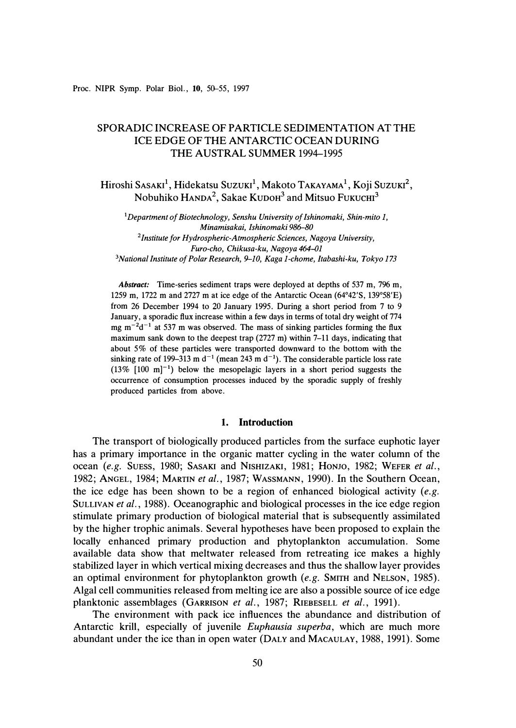Proc. NIPR Symp. Polar Biol., 10, 50-55, 1997

# SPORADIC INCREASE OF PARTICLE SEDIMENTATION AT THE ICE EDGE OF THE ANTARCTIC OCEAN DURING THE AUSTRAL SUMMER 1994-1995

 $\rm Hiroshi\,Sasaki^1, Hidekatsu\,Suzuki^1, Makoto\,TakAYAMA^1, Koji\,Suzuki^2,$ Nobuhiko HANDA**<sup>2</sup> ,** Sakae KuooH**<sup>3</sup>**and Mitsuo FuKucm**<sup>3</sup>**

*<sup>1</sup>Department of Biotechnology, Senshu University of Ishinomaki, Shin-mito 1, Minamisakai, Ishinomaki 986-80*  <sup>2</sup> Institute for Hydrospheric-Atmospheric Sciences, Nagoya University, *Furo-cho, Chikusa-ku, Nagoya 464--01 <sup>3</sup>National Institute of Polar Research, 9-10, Kaga 1-chome, ltabashi-ku, Tokyo 173* 

*Abstract:* Time-series sediment traps were deployed at depths of 537 m, 796 m, 1259 m, 1722 m and 2727 m at ice edge of the Antarctic Ocean (64° 42'S, 139° 58'E) from 26 December 1994 to 20 January 1995. During a short period from 7 to 9 January, a sporadic flux increase within a few days in terms of total dry weight of 774 mg  $m^{-2}d^{-1}$  at 537 m was observed. The mass of sinking particles forming the flux maximum sank down to the deepest trap (2727 m) within 7-11 days, indicating that about 5% of these particles were transported downward to the bottom with the sinking rate of 199–313 m  $d^{-1}$  (mean 243 m  $d^{-1}$ ). The considerable particle loss rate  $(13\%$   $[100 \text{ m}]^{-1}$ ) below the mesopelagic layers in a short period suggests the occurrence of consumption processes induced by the sporadic supply of freshly produced particles from above.

### **1. Introduction**

The transport of biologically produced particles from the surface euphotic layer has a primary importance in the organic matter cycling in the water column of the ocean *(e.g.* SUESS, 1980; SASAKI and NISHIZAKI, 1981; HONJO, 1982; WEFER *et al.,*  1982; ANGEL, 1984; MARTIN *et al.,* 1987; WASSMANN, 1990). In the Southern Ocean, the ice edge has been shown to be a region of enhanced biological activity *(e.g.*  SULLIVAN *et al.*, 1988). Oceanographic and biological processes in the ice edge region stimulate primary production of biological material that is subsequently assimilated by the higher trophic animals. Several hypotheses have been proposed to explain the locally enhanced primary production and phytoplankton accumulation. Some available data show that meltwater released from retreating ice makes a highly stabilized layer in which vertical mixing decreases and thus the shallow layer provides an optimal environment for phytoplankton growth *(e.g.* SMITH and NELSON, 1985). Algal cell communities released from melting ice are also a possible source of ice edge planktonic assemblages (GARRISON *et al.,* 1987; RIEBESELL *et al.,* 1991).

The environment with pack ice influences the abundance and distribution of Antarctic krill, especially of juvenile *Euphausia superba,* which are much more abundant under the ice than in open water (DALY and MACAULAY, 1988, 1991). Some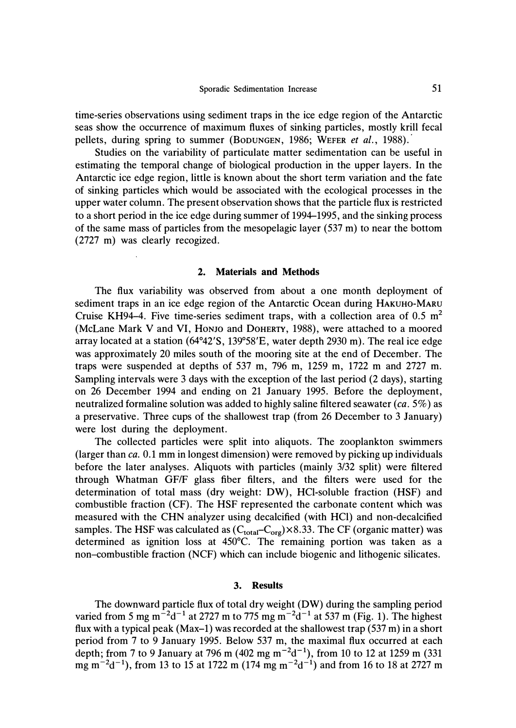time-series observations using sediment traps in the ice edge region of the Antarctic seas show the occurrence of maximum fluxes of sinking particles, mostly krill fecal pellets, during spring to summer (BODUNGEN, 1986; WEFER *et al.*, 1988).

Studies on the variability of particulate matter sedimentation can be useful in estimating the temporal change of biological production in the upper layers. In the Antarctic ice edge region, little is known about the short term variation and the fate of sinking particles which would be associated with the ecological processes in the upper water column. The present observation shows that the particle flux is restricted to a short period in the ice edge during summer of 1994-1995, and the sinking process of the same mass of particles from the mesopelagic layer (537 m) to near the bottom (2727 m) was clearly recogized.

### **2. Materials and Methods**

The flux variability was observed from about a one month deployment of sediment traps in an ice edge region of the Antarctic Ocean during HAKUHO-MARU Cruise KH94-4. Five time-series sediment traps, with a collection area of  $0.5 \text{ m}^2$ (McLane Mark V and VI, HoNJO and DOHERTY, 1988), were attached to a moored array located at a station (64° 42'S, 139° 58'E, water depth 2930 m). The real ice edge was approximately 20 miles south of the mooring site at the end of December. The traps were suspended at depths of 537 m, 796 m, 1259 m, 1722 m and 2727 m. Sampling intervals were 3 days with the exception of the last period (2 days), starting on 26 December 1994 and ending on 21 January 1995. Before the deployment, neutralized formaline solution was added to highly saline filtered seawater *(ca.* 5%) as a preservative. Three cups of the shallowest trap (from 26 December to 3 January) were lost during the deployment.

The collected particles were split into aliquots. The zooplankton swimmers (larger than *ca.* 0.1 mm in longest dimension) were removed by picking up individuals before the later analyses. Aliquots with particles (mainly 3/32 split) were filtered through Whatman GF/F glass fiber filters, and the filters were used for the determination of total mass (dry weight: DW), HCI-soluble fraction (HSF) and combustible fraction (CF). The HSF represented the carbonate content which was measured with the CHN analyzer using decalcified (with HCl) and non-decalcified samples. The HSF was calculated as  $(C_{total}-C_{org})\times 8.33$ . The CF (organic matter) was determined as ignition loss at 450°C. The remaining portion was taken as a non-combustible fraction (NCF) which can include biogenic and lithogenic silicates.

#### **3. Results**

The downward particle flux of total dry weight (OW) during the sampling period varied from 5 mg m<sup>-2</sup>d<sup>-1</sup> at 2727 m to 775 mg m<sup>-2</sup>d<sup>-1</sup> at 537 m (Fig. 1). The highest flux with a typical peak (Max-1) was recorded at the shallowest trap  $(537 \text{ m})$  in a short period from 7 to 9 January 1995. Below 537 m, the maximal flux occurred at each depth; from 7 to 9 January at 796 m (402 mg  $m^{-2}d^{-1}$ ), from 10 to 12 at 1259 m (331)  $\text{mg m}^{-2}\text{d}^{-1}$ ), from 13 to 15 at 1722 m (174 mg m<sup>-2</sup>d<sup>-1</sup>) and from 16 to 18 at 2727 m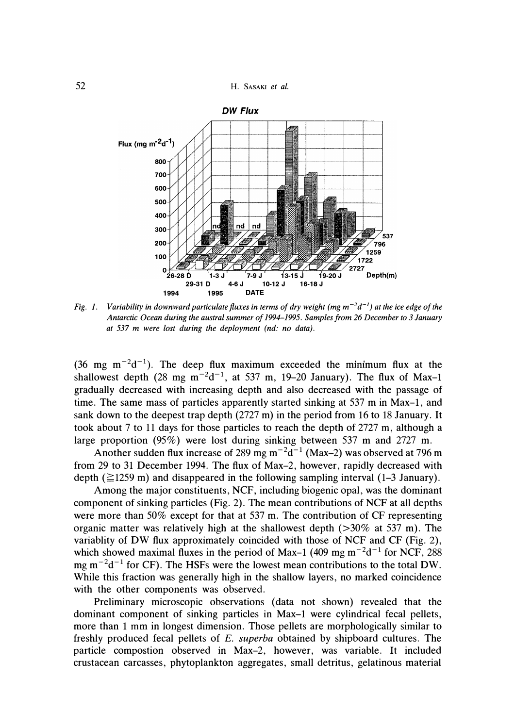52 H. **SASAKI** *et al.* 



Fig. 1. Variability in downward particulate fluxes in terms of dry weight (mg  $m^{-2}d^{-1}$ ) at the ice edge of the *Antarctic Ocean during the austral summer of 1994-1995. Samples from 26 December to 3 January at 537 m were lost during the deployment (nd: no data).* 

(36 mg  $m^{-2}d^{-1}$ ). The deep flux maximum exceeded the minimum flux at the shallowest depth  $(28 \text{ mg m}^{-2}d^{-1})$ , at 537 m, 19–20 January). The flux of Max–1 gradually decreased with increasing depth and also decreased with the passage of time. The same mass of particles apparently started sinking at 537 m in Max-1, and sank down to the deepest trap depth (2727 m) in the period from 16 to 18 January. It took about 7 to 11 days for those particles to reach the depth of 2727 m, although a large proportion (95%) were lost during sinking between 537 m and 2727 m.

Another sudden flux increase of 289 mg  $m^{-2}d^{-1}$  (Max–2) was observed at 796 m from 29 to 31 December 1994. The flux of Max-2, however, rapidly decreased with depth ( $\geq$ 1259 m) and disappeared in the following sampling interval (1–3 January).

Among the major constituents, NCF, including biogenic opal, was the dominant component of sinking particles (Fig. 2). The mean contributions of NCF at all depths were more than 50% except for that at 537 m. The contribution of CF representing organic matter was relatively high at the shallowest depth  $(>30\%$  at 537 m). The variablity of DW flux approximately coincided with those of NCF and CF (Fig. 2), which showed maximal fluxes in the period of Max-1 (409 mg  $m^{-2}d^{-1}$  for NCF, 288 mg  $m^{-2}d^{-1}$  for CF). The HSFs were the lowest mean contributions to the total DW. While this fraction was generally high in the shallow layers, no marked coincidence with the other components was observed.

Preliminary microscopic observations (data not shown) revealed that the dominant component of sinking particles in Max-1 were cylindrical fecal pellets, more than 1 mm in longest dimension. Those pellets are morphologically similar to freshly produced fecal pellets of *E. superba* obtained by shipboard cultures. The particle compostion observed in Max-2, however, was variable. It included crustacean carcasses, phytoplankton aggregates, small detritus, gelatinous material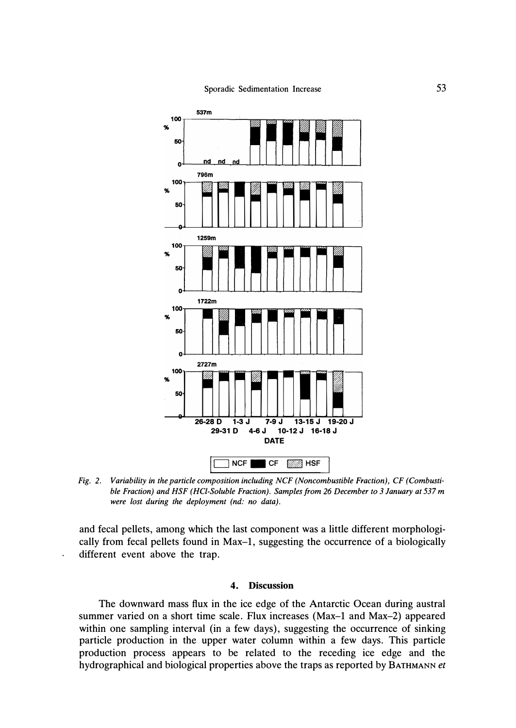

*Fig. 2. Variability in the particle composition including NCF (Noncombustible Fraction), CF (Combustible Fraction) and HSF (HCI-Soluble Fraction). Samples from 26 December to 3 January at 537 m were lost during the deployment (nd: no data).* 

and fecal pellets, among which the last component was a little different morphologically from fecal pellets found in Max-1, suggesting the occurrence of a biologically different event above the trap.

 $\ddot{\phantom{1}}$ 

## **4. Discussion**

The downward mass flux in the ice edge of the Antarctic Ocean during austral summer varied on a short time scale. Flux increases (Max-1 and Max-2) appeared within one sampling interval (in a few days), suggesting the occurrence of sinking particle production in the upper water column within a few days. This particle production process appears to be related to the receding ice edge and the hydrographical and biological properties above the traps as reported by **BATHMANN** *et*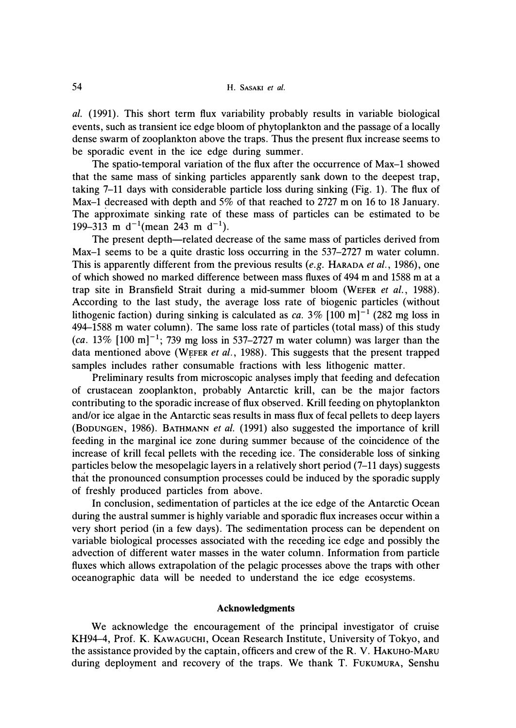*al.* (1991). This short term flux variability probably results in variable biological events, such as transient ice edge bloom of phytoplankton and the passage of a locally dense swarm of zooplankton above the traps. Thus the present flux increase seems to be sporadic event in the ice edge during summer.

The spatio-temporal variation of the flux after the occurrence of Max-1 showed that the same mass of sinking particles apparently sank down to the deepest trap, taking 7-11 days with considerable particle loss during sinking (Fig. 1). The flux of Max-1 decreased with depth and 5% of that reached to 2727 m on 16 to 18 January. The approximate sinking rate of these mass of particles can be estimated to be 199–313 m  $d^{-1}$ (mean 243 m  $d^{-1}$ ).

The present depth—related decrease of the same mass of particles derived from Max-1 seems to be a quite drastic loss occurring in the 537-2727 m water column. This is apparently different from the previous results *(e.g.* HARADA *et al.,* 1986), one of which showed no marked difference between mass fluxes of 494 m and 1588 m at a trap site in Bransfield Strait during a mid-summer bloom (WEFER *et al.,* 1988). According to the last study, the average loss rate of biogenic particles (without lithogenic faction) during sinking is calculated as *ca*.  $3\%$  [100 m]<sup>-1</sup> (282 mg loss in 494-1588 m water column). The same loss rate of particles (total mass) of this study  $(ca. 13\% [100 m]^{-1}$ ; 739 mg loss in 537–2727 m water column) was larger than the data mentioned above (WEFER *et al.,* 1988). This suggests that the present trapped samples includes rather consumable fractions with less lithogenic matter.

Preliminary results from microscopic analyses imply that feeding and defecation of crustacean zooplankton, probably Antarctic krill, can be the major factors contributing to the sporadic increase of flux observed. Krill feeding on phytoplankton and/or ice algae in the Antarctic seas results in mass flux of fecal pellets to deep layers (BoouNGEN, 1986). BATHMANN *et al.* (1991) also suggested the importance of krill feeding in the marginal ice zone during summer because of the coincidence of the increase of krill fecal pellets with the receding ice. The considerable loss of sinking particles below the mesopelagic layers in a relatively short period (7-11 days) suggests that the pronounced consumption processes could be induced by the sporadic supply of freshly produced particles from above.

In conclusion, sedimentation of particles at the ice edge of the Antarctic Ocean during the austral summer is highly variable and sporadic flux increases occur within a very short period (in a few days). The sedimentation process can be dependent on variable biological processes associated with the receding ice edge and possibly the advection of different water masses in the water column. Information from particle fluxes which allows extrapolation of the pelagic processes above the traps with other oceanographic data will be needed to understand the ice edge ecosystems.

## **Acknowledgments**

We acknowledge the encouragement of the principal investigator of cruise KH94-4, Prof. K. KAWAGUCHI, Ocean Research Institute, University of Tokyo, and the assistance provided by the captain, officers and crew of the R. V. HAKUHO-MARU during deployment and recovery of the traps. We thank T. FUKUMURA, Senshu